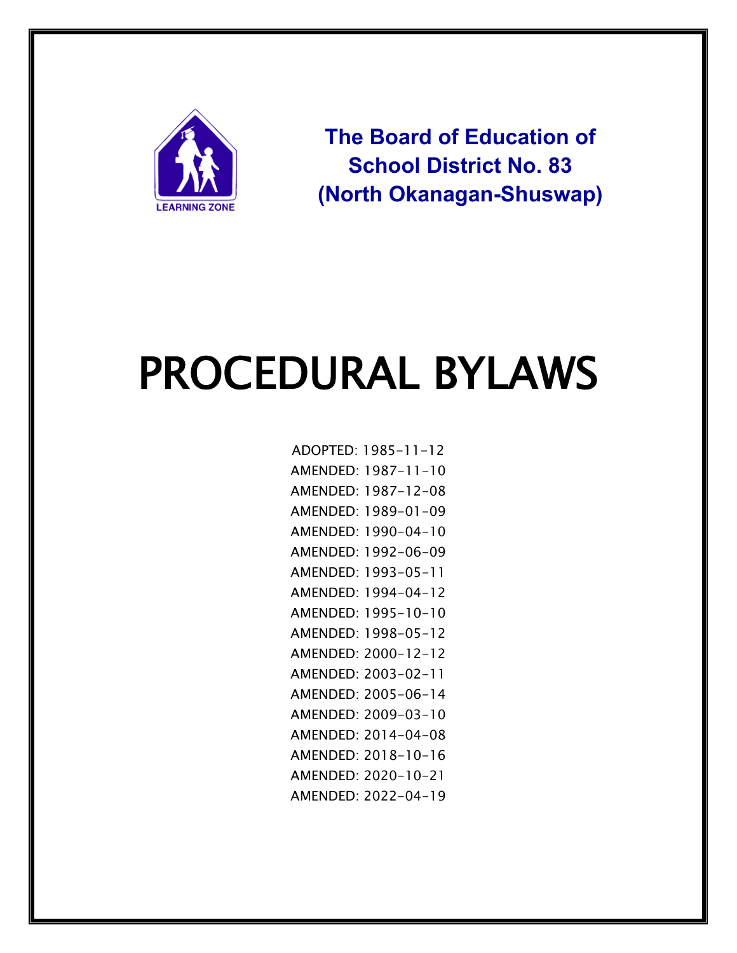

**The Board of Education of School District No. 83 (North Okanagan-Shuswap)**

# PROCEDURAL BYLAWS

ADOPTED: 1985-11-12 AMENDED: 1987-11-10 AMENDED: 1987-12-08 AMENDED: 1989-01-09 AMENDED: 1990-04-10 AMENDED: 1992-06-09 AMENDED: 1993-05-11 AMENDED: 1994-04-12 AMENDED: 1995-10-10 AMENDED: 1998-05-12 AMENDED: 2000-12-12 AMENDED: 2003-02-11 AMENDED: 2005-06-14 AMENDED: 2009-03-10 AMENDED: 2014-04-08 AMENDED: 2018-10-16 AMENDED: 2020-10-21 AMENDED: 2022-04-19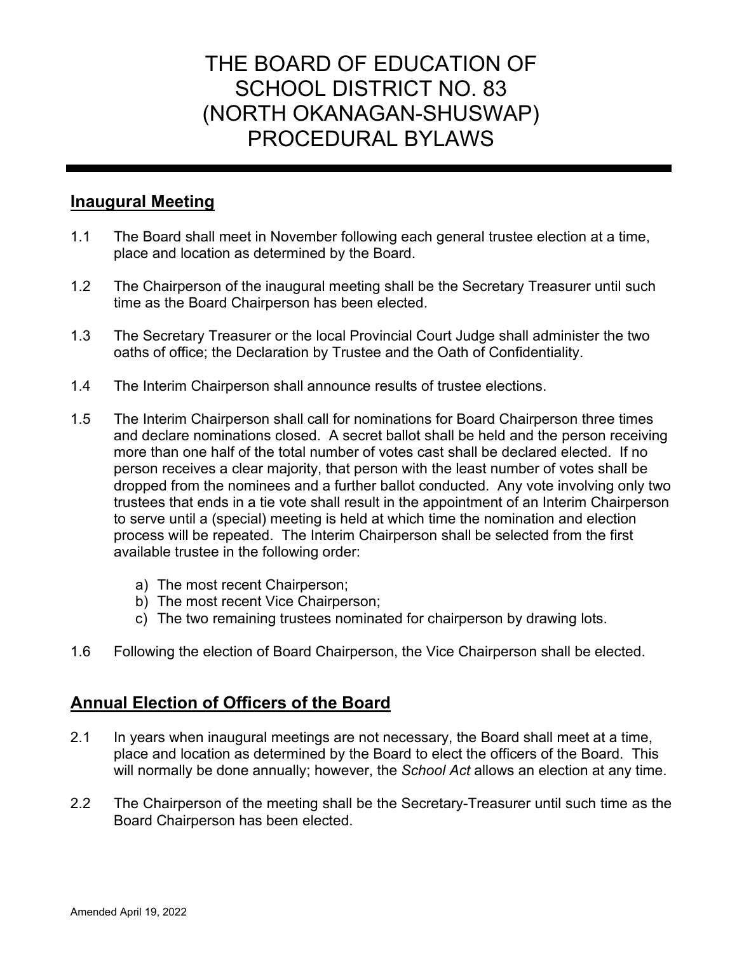# THE BOARD OF EDUCATION OF SCHOOL DISTRICT NO. 83 (NORTH OKANAGAN-SHUSWAP) PROCEDURAL BYLAWS

# **Inaugural Meeting**

- 1.1 The Board shall meet in November following each general trustee election at a time, place and location as determined by the Board.
- 1.2 The Chairperson of the inaugural meeting shall be the Secretary Treasurer until such time as the Board Chairperson has been elected.
- 1.3 The Secretary Treasurer or the local Provincial Court Judge shall administer the two oaths of office; the Declaration by Trustee and the Oath of Confidentiality.
- 1.4 The Interim Chairperson shall announce results of trustee elections.
- 1.5 The Interim Chairperson shall call for nominations for Board Chairperson three times and declare nominations closed. A secret ballot shall be held and the person receiving more than one half of the total number of votes cast shall be declared elected. If no person receives a clear majority, that person with the least number of votes shall be dropped from the nominees and a further ballot conducted. Any vote involving only two trustees that ends in a tie vote shall result in the appointment of an Interim Chairperson to serve until a (special) meeting is held at which time the nomination and election process will be repeated. The Interim Chairperson shall be selected from the first available trustee in the following order:
	- a) The most recent Chairperson;
	- b) The most recent Vice Chairperson;
	- c) The two remaining trustees nominated for chairperson by drawing lots.
- 1.6 Following the election of Board Chairperson, the Vice Chairperson shall be elected.

# **Annual Election of Officers of the Board**

- 2.1 In years when inaugural meetings are not necessary, the Board shall meet at a time, place and location as determined by the Board to elect the officers of the Board. This will normally be done annually; however, the *School Act* allows an election at any time.
- 2.2 The Chairperson of the meeting shall be the Secretary-Treasurer until such time as the Board Chairperson has been elected.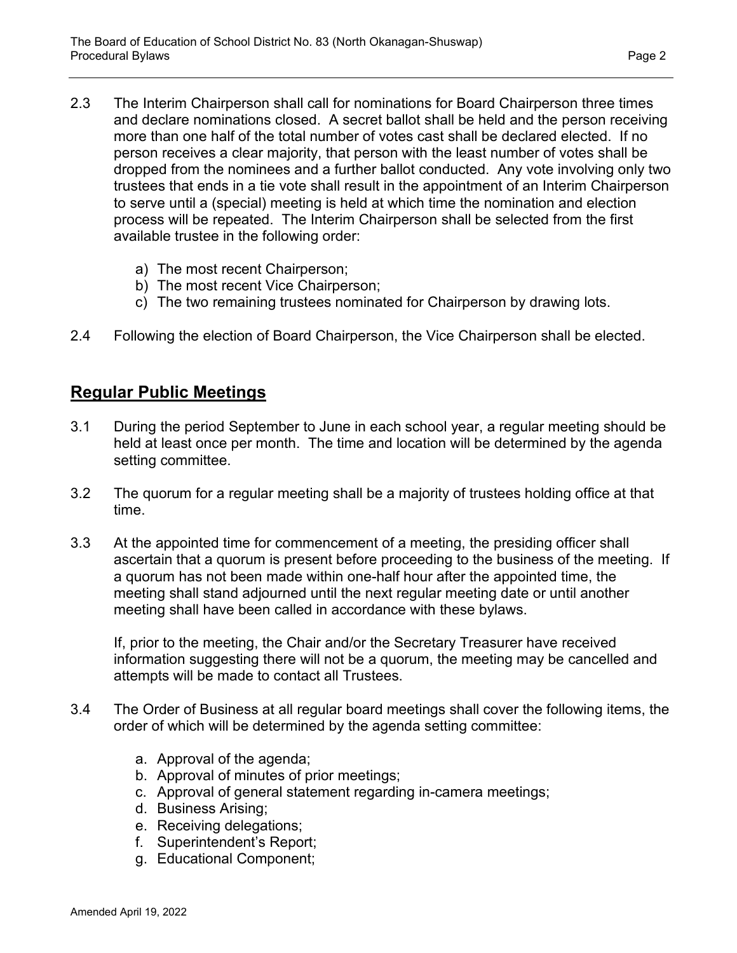- 2.3 The Interim Chairperson shall call for nominations for Board Chairperson three times and declare nominations closed. A secret ballot shall be held and the person receiving more than one half of the total number of votes cast shall be declared elected. If no person receives a clear majority, that person with the least number of votes shall be dropped from the nominees and a further ballot conducted. Any vote involving only two trustees that ends in a tie vote shall result in the appointment of an Interim Chairperson to serve until a (special) meeting is held at which time the nomination and election process will be repeated. The Interim Chairperson shall be selected from the first available trustee in the following order:
	- a) The most recent Chairperson;
	- b) The most recent Vice Chairperson;
	- c) The two remaining trustees nominated for Chairperson by drawing lots.
- 2.4 Following the election of Board Chairperson, the Vice Chairperson shall be elected.

# **Regular Public Meetings**

- 3.1 During the period September to June in each school year, a regular meeting should be held at least once per month. The time and location will be determined by the agenda setting committee.
- 3.2 The quorum for a regular meeting shall be a majority of trustees holding office at that time.
- 3.3 At the appointed time for commencement of a meeting, the presiding officer shall ascertain that a quorum is present before proceeding to the business of the meeting. If a quorum has not been made within one-half hour after the appointed time, the meeting shall stand adjourned until the next regular meeting date or until another meeting shall have been called in accordance with these bylaws.

If, prior to the meeting, the Chair and/or the Secretary Treasurer have received information suggesting there will not be a quorum, the meeting may be cancelled and attempts will be made to contact all Trustees.

- 3.4 The Order of Business at all regular board meetings shall cover the following items, the order of which will be determined by the agenda setting committee:
	- a. Approval of the agenda;
	- b. Approval of minutes of prior meetings;
	- c. Approval of general statement regarding in-camera meetings;
	- d. Business Arising;
	- e. Receiving delegations;
	- f. Superintendent's Report;
	- g. Educational Component;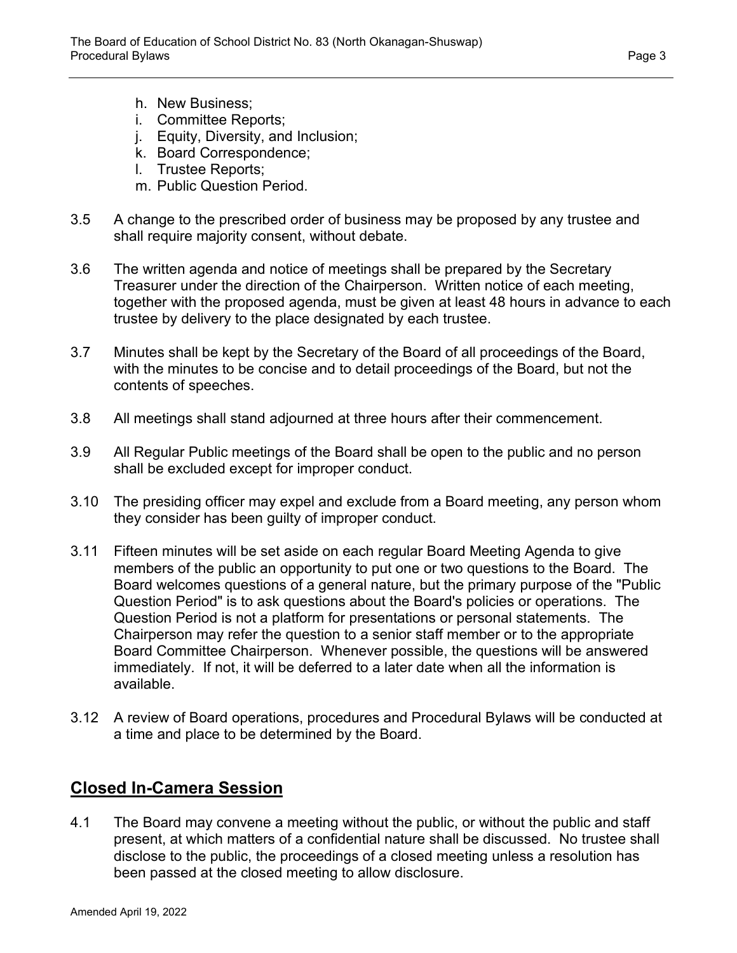- h. New Business;
- i. Committee Reports;
- j. Equity, Diversity, and Inclusion;
- k. Board Correspondence;
- l. Trustee Reports;
- m. Public Question Period.
- 3.5 A change to the prescribed order of business may be proposed by any trustee and shall require majority consent, without debate.
- 3.6 The written agenda and notice of meetings shall be prepared by the Secretary Treasurer under the direction of the Chairperson. Written notice of each meeting, together with the proposed agenda, must be given at least 48 hours in advance to each trustee by delivery to the place designated by each trustee.
- 3.7 Minutes shall be kept by the Secretary of the Board of all proceedings of the Board, with the minutes to be concise and to detail proceedings of the Board, but not the contents of speeches.
- 3.8 All meetings shall stand adjourned at three hours after their commencement.
- 3.9 All Regular Public meetings of the Board shall be open to the public and no person shall be excluded except for improper conduct.
- 3.10 The presiding officer may expel and exclude from a Board meeting, any person whom they consider has been guilty of improper conduct.
- 3.11 Fifteen minutes will be set aside on each regular Board Meeting Agenda to give members of the public an opportunity to put one or two questions to the Board. The Board welcomes questions of a general nature, but the primary purpose of the "Public Question Period" is to ask questions about the Board's policies or operations. The Question Period is not a platform for presentations or personal statements. The Chairperson may refer the question to a senior staff member or to the appropriate Board Committee Chairperson. Whenever possible, the questions will be answered immediately. If not, it will be deferred to a later date when all the information is available.
- 3.12 A review of Board operations, procedures and Procedural Bylaws will be conducted at a time and place to be determined by the Board.

# **Closed In-Camera Session**

4.1 The Board may convene a meeting without the public, or without the public and staff present, at which matters of a confidential nature shall be discussed. No trustee shall disclose to the public, the proceedings of a closed meeting unless a resolution has been passed at the closed meeting to allow disclosure.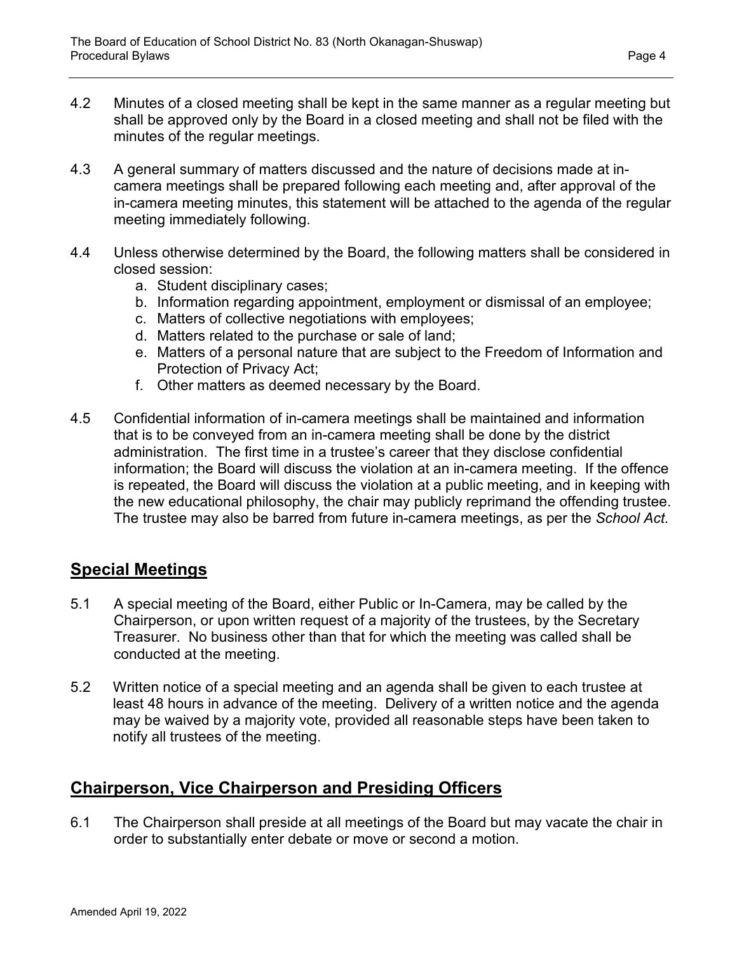- 4.2 Minutes of a closed meeting shall be kept in the same manner as a regular meeting but shall be approved only by the Board in a closed meeting and shall not be filed with the minutes of the regular meetings.
- 4.3 A general summary of matters discussed and the nature of decisions made at incamera meetings shall be prepared following each meeting and, after approval of the in-camera meeting minutes, this statement will be attached to the agenda of the regular meeting immediately following.
- 4.4 Unless otherwise determined by the Board, the following matters shall be considered in closed session:
	- a. Student disciplinary cases;
	- b. Information regarding appointment, employment or dismissal of an employee;
	- c. Matters of collective negotiations with employees;
	- d. Matters related to the purchase or sale of land;
	- e. Matters of a personal nature that are subject to the Freedom of Information and Protection of Privacy Act;
	- f. Other matters as deemed necessary by the Board.
- 4.5 Confidential information of in-camera meetings shall be maintained and information that is to be conveyed from an in-camera meeting shall be done by the district administration. The first time in a trustee's career that they disclose confidential information; the Board will discuss the violation at an in-camera meeting. If the offence is repeated, the Board will discuss the violation at a public meeting, and in keeping with the new educational philosophy, the chair may publicly reprimand the offending trustee. The trustee may also be barred from future in-camera meetings, as per the *School Act*.

## **Special Meetings**

- 5.1 A special meeting of the Board, either Public or In-Camera, may be called by the Chairperson, or upon written request of a majority of the trustees, by the Secretary Treasurer. No business other than that for which the meeting was called shall be conducted at the meeting.
- 5.2 Written notice of a special meeting and an agenda shall be given to each trustee at least 48 hours in advance of the meeting. Delivery of a written notice and the agenda may be waived by a majority vote, provided all reasonable steps have been taken to notify all trustees of the meeting.

# **Chairperson, Vice Chairperson and Presiding Officers**

6.1 The Chairperson shall preside at all meetings of the Board but may vacate the chair in order to substantially enter debate or move or second a motion.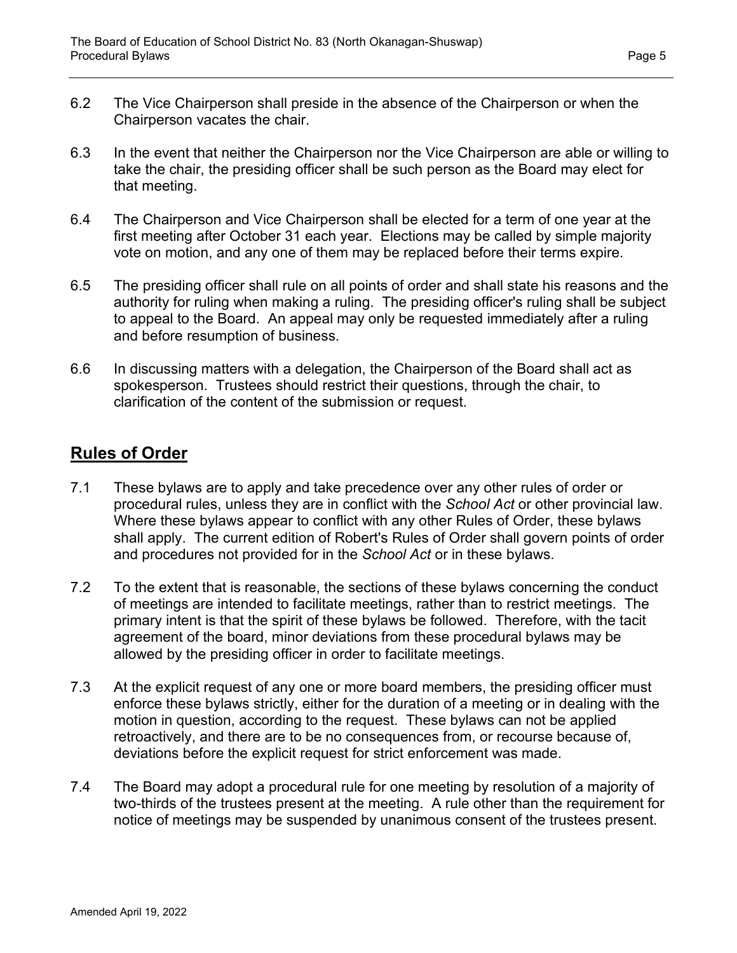- 6.2 The Vice Chairperson shall preside in the absence of the Chairperson or when the Chairperson vacates the chair.
- 6.3 In the event that neither the Chairperson nor the Vice Chairperson are able or willing to take the chair, the presiding officer shall be such person as the Board may elect for that meeting.
- 6.4 The Chairperson and Vice Chairperson shall be elected for a term of one year at the first meeting after October 31 each year. Elections may be called by simple majority vote on motion, and any one of them may be replaced before their terms expire.
- 6.5 The presiding officer shall rule on all points of order and shall state his reasons and the authority for ruling when making a ruling. The presiding officer's ruling shall be subject to appeal to the Board. An appeal may only be requested immediately after a ruling and before resumption of business.
- 6.6 In discussing matters with a delegation, the Chairperson of the Board shall act as spokesperson. Trustees should restrict their questions, through the chair, to clarification of the content of the submission or request.

# **Rules of Order**

- 7.1 These bylaws are to apply and take precedence over any other rules of order or procedural rules, unless they are in conflict with the *School Act* or other provincial law. Where these bylaws appear to conflict with any other Rules of Order, these bylaws shall apply. The current edition of Robert's Rules of Order shall govern points of order and procedures not provided for in the *School Act* or in these bylaws.
- 7.2 To the extent that is reasonable, the sections of these bylaws concerning the conduct of meetings are intended to facilitate meetings, rather than to restrict meetings. The primary intent is that the spirit of these bylaws be followed. Therefore, with the tacit agreement of the board, minor deviations from these procedural bylaws may be allowed by the presiding officer in order to facilitate meetings.
- 7.3 At the explicit request of any one or more board members, the presiding officer must enforce these bylaws strictly, either for the duration of a meeting or in dealing with the motion in question, according to the request. These bylaws can not be applied retroactively, and there are to be no consequences from, or recourse because of, deviations before the explicit request for strict enforcement was made.
- 7.4 The Board may adopt a procedural rule for one meeting by resolution of a majority of two-thirds of the trustees present at the meeting. A rule other than the requirement for notice of meetings may be suspended by unanimous consent of the trustees present.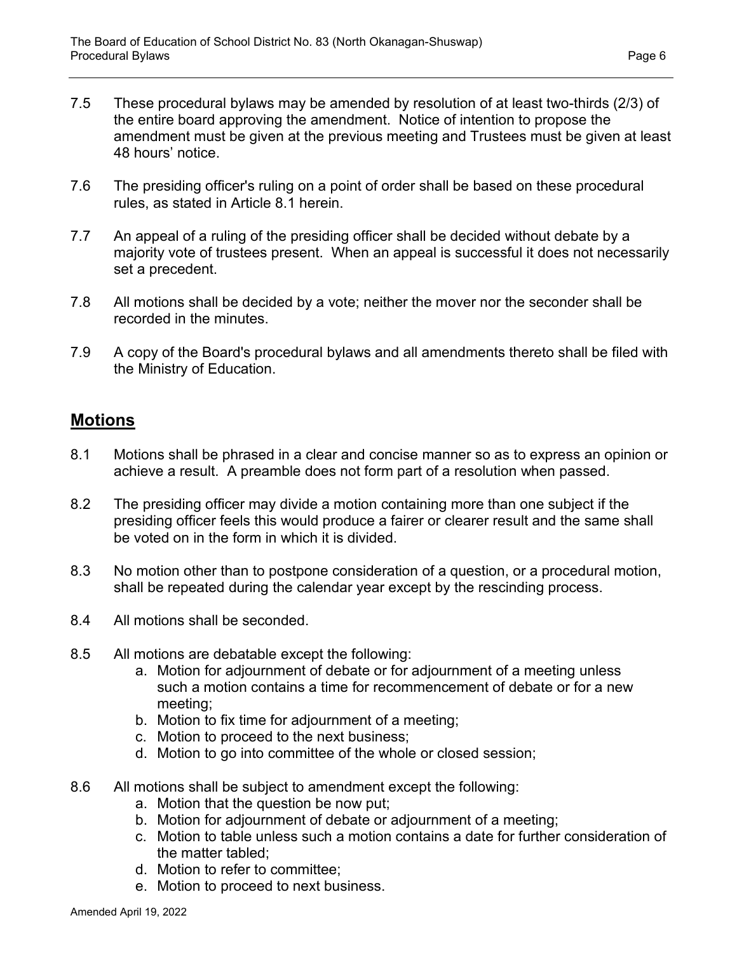- 7.5 These procedural bylaws may be amended by resolution of at least two-thirds (2/3) of the entire board approving the amendment. Notice of intention to propose the amendment must be given at the previous meeting and Trustees must be given at least 48 hours' notice.
- 7.6 The presiding officer's ruling on a point of order shall be based on these procedural rules, as stated in Article 8.1 herein.
- 7.7 An appeal of a ruling of the presiding officer shall be decided without debate by a majority vote of trustees present. When an appeal is successful it does not necessarily set a precedent.
- 7.8 All motions shall be decided by a vote; neither the mover nor the seconder shall be recorded in the minutes.
- 7.9 A copy of the Board's procedural bylaws and all amendments thereto shall be filed with the Ministry of Education.

#### **Motions**

- 8.1 Motions shall be phrased in a clear and concise manner so as to express an opinion or achieve a result. A preamble does not form part of a resolution when passed.
- 8.2 The presiding officer may divide a motion containing more than one subject if the presiding officer feels this would produce a fairer or clearer result and the same shall be voted on in the form in which it is divided.
- 8.3 No motion other than to postpone consideration of a question, or a procedural motion, shall be repeated during the calendar year except by the rescinding process.
- 8.4 All motions shall be seconded.
- 8.5 All motions are debatable except the following:
	- a. Motion for adjournment of debate or for adjournment of a meeting unless such a motion contains a time for recommencement of debate or for a new meeting;
	- b. Motion to fix time for adjournment of a meeting;
	- c. Motion to proceed to the next business;
	- d. Motion to go into committee of the whole or closed session;
- 8.6 All motions shall be subject to amendment except the following:
	- a. Motion that the question be now put;
	- b. Motion for adjournment of debate or adjournment of a meeting;
	- c. Motion to table unless such a motion contains a date for further consideration of the matter tabled;
	- d. Motion to refer to committee;
	- e. Motion to proceed to next business.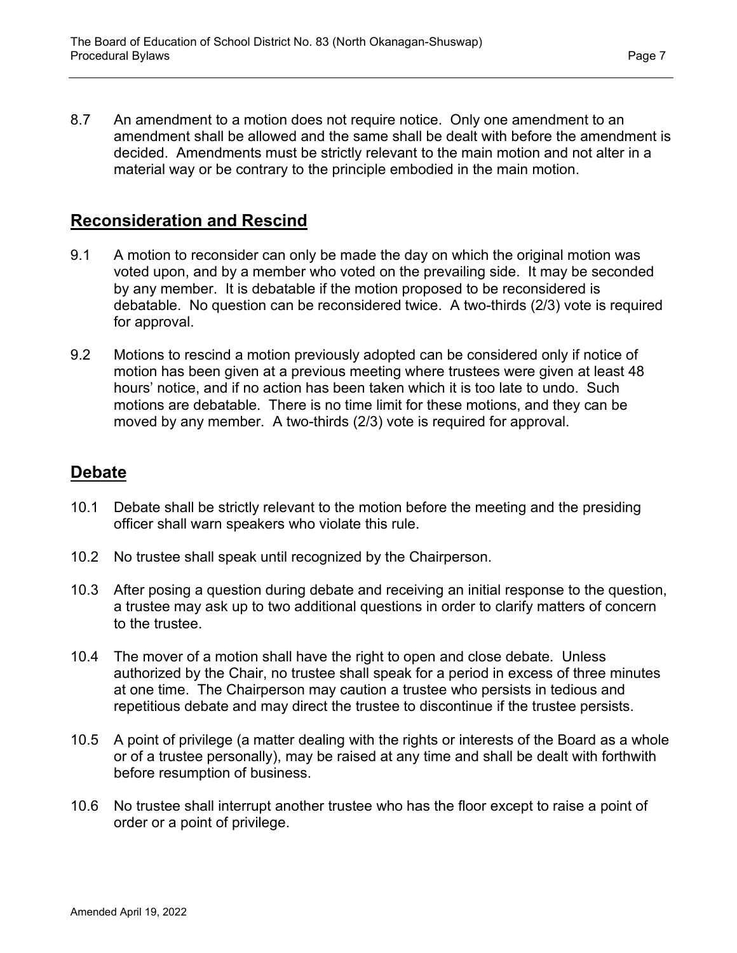8.7 An amendment to a motion does not require notice. Only one amendment to an amendment shall be allowed and the same shall be dealt with before the amendment is decided. Amendments must be strictly relevant to the main motion and not alter in a material way or be contrary to the principle embodied in the main motion.

# **Reconsideration and Rescind**

- 9.1 A motion to reconsider can only be made the day on which the original motion was voted upon, and by a member who voted on the prevailing side. It may be seconded by any member. It is debatable if the motion proposed to be reconsidered is debatable. No question can be reconsidered twice. A two-thirds (2/3) vote is required for approval.
- 9.2 Motions to rescind a motion previously adopted can be considered only if notice of motion has been given at a previous meeting where trustees were given at least 48 hours' notice, and if no action has been taken which it is too late to undo. Such motions are debatable. There is no time limit for these motions, and they can be moved by any member. A two-thirds (2/3) vote is required for approval.

# **Debate**

- 10.1 Debate shall be strictly relevant to the motion before the meeting and the presiding officer shall warn speakers who violate this rule.
- 10.2 No trustee shall speak until recognized by the Chairperson.
- 10.3 After posing a question during debate and receiving an initial response to the question, a trustee may ask up to two additional questions in order to clarify matters of concern to the trustee.
- 10.4 The mover of a motion shall have the right to open and close debate. Unless authorized by the Chair, no trustee shall speak for a period in excess of three minutes at one time. The Chairperson may caution a trustee who persists in tedious and repetitious debate and may direct the trustee to discontinue if the trustee persists.
- 10.5 A point of privilege (a matter dealing with the rights or interests of the Board as a whole or of a trustee personally), may be raised at any time and shall be dealt with forthwith before resumption of business.
- 10.6 No trustee shall interrupt another trustee who has the floor except to raise a point of order or a point of privilege.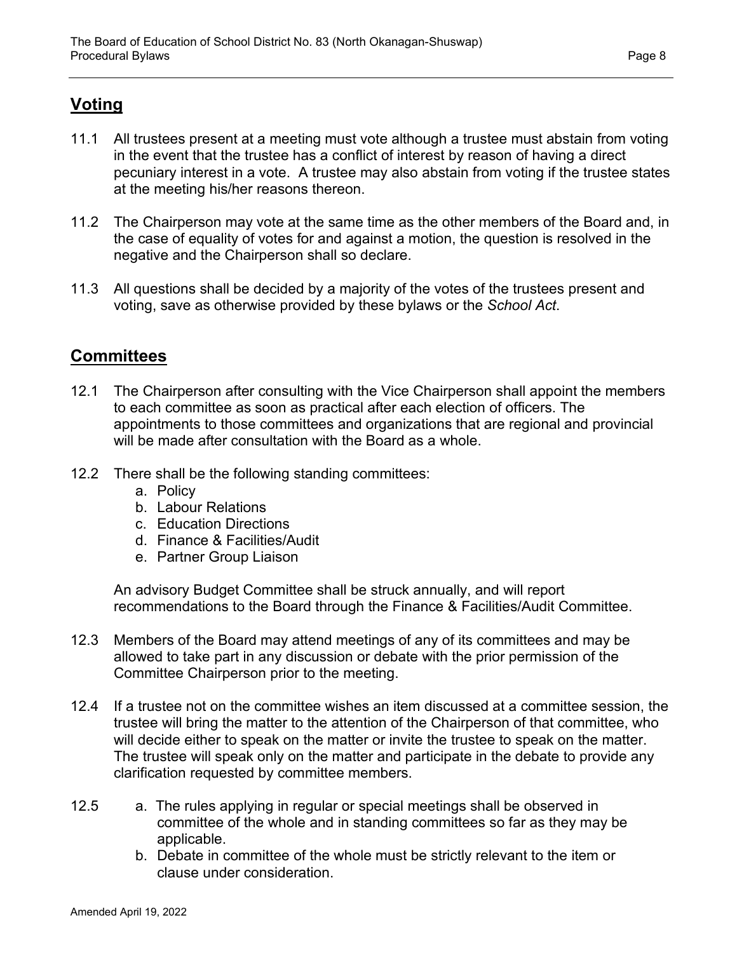# **Voting**

- 11.1 All trustees present at a meeting must vote although a trustee must abstain from voting in the event that the trustee has a conflict of interest by reason of having a direct pecuniary interest in a vote. A trustee may also abstain from voting if the trustee states at the meeting his/her reasons thereon.
- 11.2 The Chairperson may vote at the same time as the other members of the Board and, in the case of equality of votes for and against a motion, the question is resolved in the negative and the Chairperson shall so declare.
- 11.3 All questions shall be decided by a majority of the votes of the trustees present and voting, save as otherwise provided by these bylaws or the *School Act*.

# **Committees**

- 12.1 The Chairperson after consulting with the Vice Chairperson shall appoint the members to each committee as soon as practical after each election of officers. The appointments to those committees and organizations that are regional and provincial will be made after consultation with the Board as a whole.
- 12.2 There shall be the following standing committees:
	- a. Policy
	- b. Labour Relations
	- c. Education Directions
	- d. Finance & Facilities/Audit
	- e. Partner Group Liaison

An advisory Budget Committee shall be struck annually, and will report recommendations to the Board through the Finance & Facilities/Audit Committee.

- 12.3 Members of the Board may attend meetings of any of its committees and may be allowed to take part in any discussion or debate with the prior permission of the Committee Chairperson prior to the meeting.
- 12.4 If a trustee not on the committee wishes an item discussed at a committee session, the trustee will bring the matter to the attention of the Chairperson of that committee, who will decide either to speak on the matter or invite the trustee to speak on the matter. The trustee will speak only on the matter and participate in the debate to provide any clarification requested by committee members.
- 12.5 a. The rules applying in regular or special meetings shall be observed in committee of the whole and in standing committees so far as they may be applicable.
	- b. Debate in committee of the whole must be strictly relevant to the item or clause under consideration.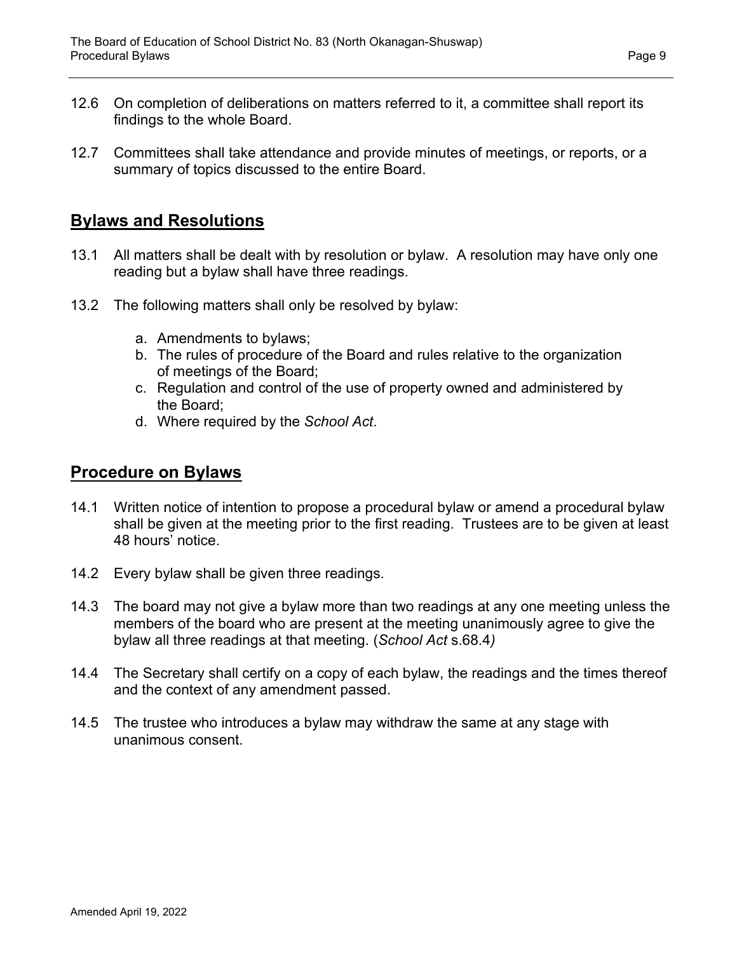- 12.6 On completion of deliberations on matters referred to it, a committee shall report its findings to the whole Board.
- 12.7 Committees shall take attendance and provide minutes of meetings, or reports, or a summary of topics discussed to the entire Board.

# **Bylaws and Resolutions**

- 13.1 All matters shall be dealt with by resolution or bylaw. A resolution may have only one reading but a bylaw shall have three readings.
- 13.2 The following matters shall only be resolved by bylaw:
	- a. Amendments to bylaws;
	- b. The rules of procedure of the Board and rules relative to the organization of meetings of the Board;
	- c. Regulation and control of the use of property owned and administered by the Board;
	- d. Where required by the *School Act*.

### **Procedure on Bylaws**

- 14.1 Written notice of intention to propose a procedural bylaw or amend a procedural bylaw shall be given at the meeting prior to the first reading. Trustees are to be given at least 48 hours' notice.
- 14.2 Every bylaw shall be given three readings.
- 14.3 The board may not give a bylaw more than two readings at any one meeting unless the members of the board who are present at the meeting unanimously agree to give the bylaw all three readings at that meeting. (*School Act* s.68.4*)*
- 14.4 The Secretary shall certify on a copy of each bylaw, the readings and the times thereof and the context of any amendment passed.
- 14.5 The trustee who introduces a bylaw may withdraw the same at any stage with unanimous consent.